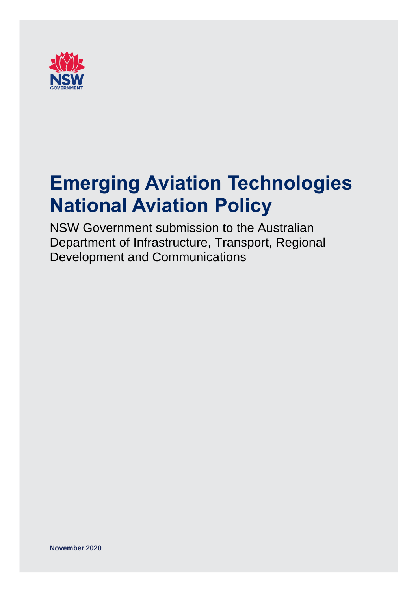

# **Emerging Aviation Technologies National Aviation Policy**

NSW Government submission to the Australian Department of Infrastructure, Transport, Regional Development and Communications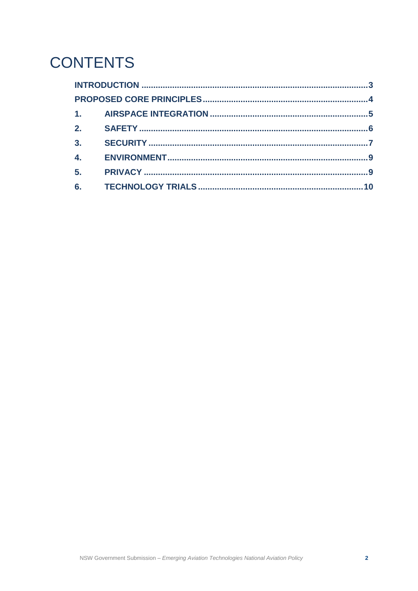## **CONTENTS**

| 2.               |  |  |
|------------------|--|--|
| 3 <sub>1</sub>   |  |  |
| $\overline{4}$ . |  |  |
| 5 <sub>1</sub>   |  |  |
| 6.               |  |  |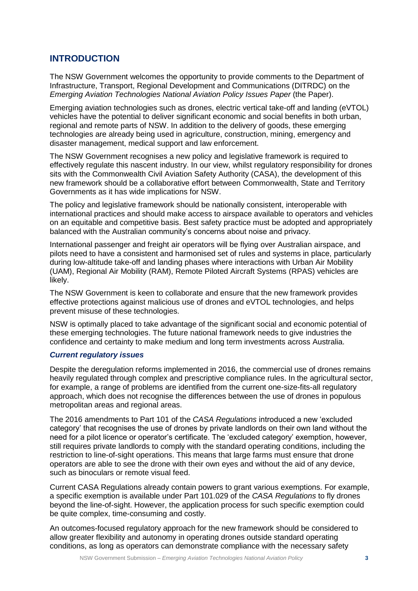## <span id="page-2-0"></span>**INTRODUCTION**

The NSW Government welcomes the opportunity to provide comments to the Department of Infrastructure, Transport, Regional Development and Communications (DITRDC) on the *Emerging Aviation Technologies National Aviation Policy Issues Paper* (the Paper).

Emerging aviation technologies such as drones, electric vertical take-off and landing (eVTOL) vehicles have the potential to deliver significant economic and social benefits in both urban, regional and remote parts of NSW. In addition to the delivery of goods, these emerging technologies are already being used in agriculture, construction, mining, emergency and disaster management, medical support and law enforcement.

The NSW Government recognises a new policy and legislative framework is required to effectively regulate this nascent industry. In our view, whilst regulatory responsibility for drones sits with the Commonwealth Civil Aviation Safety Authority (CASA), the development of this new framework should be a collaborative effort between Commonwealth, State and Territory Governments as it has wide implications for NSW.

The policy and legislative framework should be nationally consistent, interoperable with international practices and should make access to airspace available to operators and vehicles on an equitable and competitive basis. Best safety practice must be adopted and appropriately balanced with the Australian community's concerns about noise and privacy.

International passenger and freight air operators will be flying over Australian airspace, and pilots need to have a consistent and harmonised set of rules and systems in place, particularly during low-altitude take-off and landing phases where interactions with Urban Air Mobility (UAM), Regional Air Mobility (RAM), Remote Piloted Aircraft Systems (RPAS) vehicles are likely.

The NSW Government is keen to collaborate and ensure that the new framework provides effective protections against malicious use of drones and eVTOL technologies, and helps prevent misuse of these technologies.

NSW is optimally placed to take advantage of the significant social and economic potential of these emerging technologies. The future national framework needs to give industries the confidence and certainty to make medium and long term investments across Australia.

#### *Current regulatory issues*

Despite the deregulation reforms implemented in 2016, the commercial use of drones remains heavily regulated through complex and prescriptive compliance rules. In the agricultural sector, for example, a range of problems are identified from the current one-size-fits-all regulatory approach, which does not recognise the differences between the use of drones in populous metropolitan areas and regional areas.

The 2016 amendments to Part 101 of the *CASA Regulations* introduced a new 'excluded category' that recognises the use of drones by private landlords on their own land without the need for a pilot licence or operator's certificate. The 'excluded category' exemption, however, still requires private landlords to comply with the standard operating conditions, including the restriction to line-of-sight operations. This means that large farms must ensure that drone operators are able to see the drone with their own eyes and without the aid of any device, such as binoculars or remote visual feed.

Current CASA Regulations already contain powers to grant various exemptions. For example, a specific exemption is available under Part 101.029 of the *CASA Regulations* to fly drones beyond the line-of-sight. However, the application process for such specific exemption could be quite complex, time-consuming and costly.

An outcomes-focused regulatory approach for the new framework should be considered to allow greater flexibility and autonomy in operating drones outside standard operating conditions, as long as operators can demonstrate compliance with the necessary safety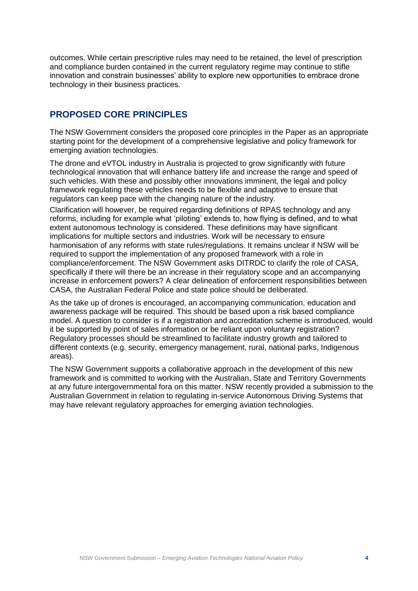outcomes. While certain prescriptive rules may need to be retained, the level of prescription and compliance burden contained in the current regulatory regime may continue to stifle innovation and constrain businesses' ability to explore new opportunities to embrace drone technology in their business practices.

## <span id="page-3-0"></span>**PROPOSED CORE PRINCIPLES**

The NSW Government considers the proposed core principles in the Paper as an appropriate starting point for the development of a comprehensive legislative and policy framework for emerging aviation technologies.

The drone and eVTOL industry in Australia is projected to grow significantly with future technological innovation that will enhance battery life and increase the range and speed of such vehicles. With these and possibly other innovations imminent, the legal and policy framework regulating these vehicles needs to be flexible and adaptive to ensure that regulators can keep pace with the changing nature of the industry.

Clarification will however, be required regarding definitions of RPAS technology and any reforms, including for example what 'piloting' extends to, how flying is defined, and to what extent autonomous technology is considered. These definitions may have significant implications for multiple sectors and industries. Work will be necessary to ensure harmonisation of any reforms with state rules/regulations. It remains unclear if NSW will be required to support the implementation of any proposed framework with a role in compliance/enforcement. The NSW Government asks DITRDC to clarify the role of CASA, specifically if there will there be an increase in their regulatory scope and an accompanying increase in enforcement powers? A clear delineation of enforcement responsibilities between CASA, the Australian Federal Police and state police should be deliberated.

As the take up of drones is encouraged, an accompanying communication, education and awareness package will be required. This should be based upon a risk based compliance model. A question to consider is if a registration and accreditation scheme is introduced, would it be supported by point of sales information or be reliant upon voluntary registration? Regulatory processes should be streamlined to facilitate industry growth and tailored to different contexts (e.g. security, emergency management, rural, national parks, Indigenous areas).

The NSW Government supports a collaborative approach in the development of this new framework and is committed to working with the Australian, State and Territory Governments at any future intergovernmental fora on this matter. NSW recently provided a submission to the Australian Government in relation to regulating in-service Autonomous Driving Systems that may have relevant regulatory approaches for emerging aviation technologies.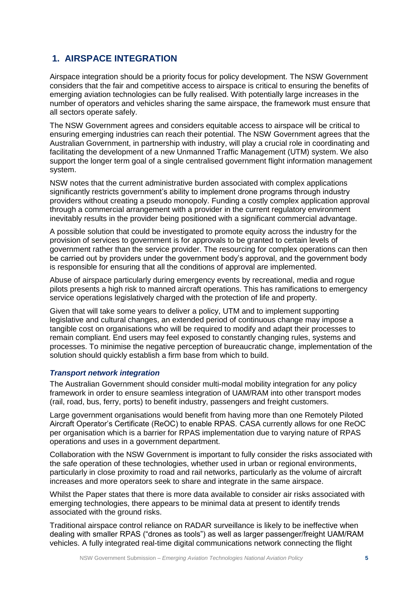## <span id="page-4-0"></span>**1. AIRSPACE INTEGRATION**

Airspace integration should be a priority focus for policy development. The NSW Government considers that the fair and competitive access to airspace is critical to ensuring the benefits of emerging aviation technologies can be fully realised. With potentially large increases in the number of operators and vehicles sharing the same airspace, the framework must ensure that all sectors operate safely.

The NSW Government agrees and considers equitable access to airspace will be critical to ensuring emerging industries can reach their potential. The NSW Government agrees that the Australian Government, in partnership with industry, will play a crucial role in coordinating and facilitating the development of a new Unmanned Traffic Management (UTM) system. We also support the longer term goal of a single centralised government flight information management system.

NSW notes that the current administrative burden associated with complex applications significantly restricts government's ability to implement drone programs through industry providers without creating a pseudo monopoly. Funding a costly complex application approval through a commercial arrangement with a provider in the current regulatory environment inevitably results in the provider being positioned with a significant commercial advantage.

A possible solution that could be investigated to promote equity across the industry for the provision of services to government is for approvals to be granted to certain levels of government rather than the service provider. The resourcing for complex operations can then be carried out by providers under the government body's approval, and the government body is responsible for ensuring that all the conditions of approval are implemented.

Abuse of airspace particularly during emergency events by recreational, media and rogue pilots presents a high risk to manned aircraft operations. This has ramifications to emergency service operations legislatively charged with the protection of life and property.

Given that will take some years to deliver a policy, UTM and to implement supporting legislative and cultural changes, an extended period of continuous change may impose a tangible cost on organisations who will be required to modify and adapt their processes to remain compliant. End users may feel exposed to constantly changing rules, systems and processes. To minimise the negative perception of bureaucratic change, implementation of the solution should quickly establish a firm base from which to build.

#### *Transport network integration*

The Australian Government should consider multi-modal mobility integration for any policy framework in order to ensure seamless integration of UAM/RAM into other transport modes (rail, road, bus, ferry, ports) to benefit industry, passengers and freight customers.

Large government organisations would benefit from having more than one Remotely Piloted Aircraft Operator's Certificate (ReOC) to enable RPAS. CASA currently allows for one ReOC per organisation which is a barrier for RPAS implementation due to varying nature of RPAS operations and uses in a government department.

Collaboration with the NSW Government is important to fully consider the risks associated with the safe operation of these technologies, whether used in urban or regional environments, particularly in close proximity to road and rail networks, particularly as the volume of aircraft increases and more operators seek to share and integrate in the same airspace.

Whilst the Paper states that there is more data available to consider air risks associated with emerging technologies, there appears to be minimal data at present to identify trends associated with the ground risks.

Traditional airspace control reliance on RADAR surveillance is likely to be ineffective when dealing with smaller RPAS ("drones as tools") as well as larger passenger/freight UAM/RAM vehicles. A fully integrated real-time digital communications network connecting the flight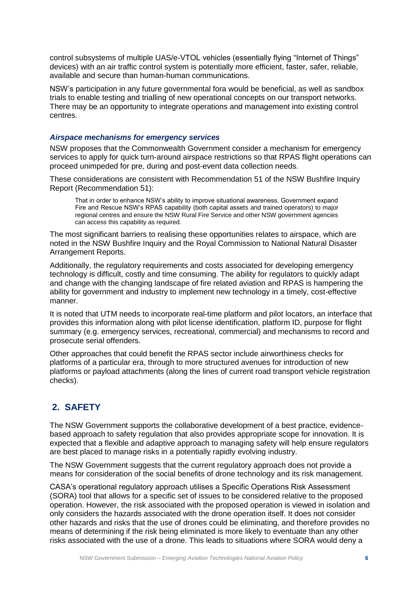control subsystems of multiple UAS/e-VTOL vehicles (essentially flying "Internet of Things" devices) with an air traffic control system is potentially more efficient, faster, safer, reliable, available and secure than human-human communications.

NSW's participation in any future governmental fora would be beneficial, as well as sandbox trials to enable testing and trialling of new operational concepts on our transport networks. There may be an opportunity to integrate operations and management into existing control centres.

#### *Airspace mechanisms for emergency services*

NSW proposes that the Commonwealth Government consider a mechanism for emergency services to apply for quick turn-around airspace restrictions so that RPAS flight operations can proceed unimpeded for pre, during and post-event data collection needs.

These considerations are consistent with Recommendation 51 of the NSW Bushfire Inquiry Report (Recommendation 51):

That in order to enhance NSW's ability to improve situational awareness, Government expand Fire and Rescue NSW's RPAS capability (both capital assets and trained operators) to major regional centres and ensure the NSW Rural Fire Service and other NSW government agencies can access this capability as required.

The most significant barriers to realising these opportunities relates to airspace, which are noted in the NSW Bushfire Inquiry and the Royal Commission to National Natural Disaster Arrangement Reports.

Additionally, the regulatory requirements and costs associated for developing emergency technology is difficult, costly and time consuming. The ability for regulators to quickly adapt and change with the changing landscape of fire related aviation and RPAS is hampering the ability for government and industry to implement new technology in a timely, cost-effective manner.

It is noted that UTM needs to incorporate real-time platform and pilot locators, an interface that provides this information along with pilot license identification, platform ID, purpose for flight summary (e.g. emergency services, recreational, commercial) and mechanisms to record and prosecute serial offenders.

Other approaches that could benefit the RPAS sector include airworthiness checks for platforms of a particular era, through to more structured avenues for introduction of new platforms or payload attachments (along the lines of current road transport vehicle registration checks).

## <span id="page-5-0"></span>**2. SAFETY**

The NSW Government supports the collaborative development of a best practice, evidencebased approach to safety regulation that also provides appropriate scope for innovation. It is expected that a flexible and adaptive approach to managing safety will help ensure regulators are best placed to manage risks in a potentially rapidly evolving industry.

The NSW Government suggests that the current regulatory approach does not provide a means for consideration of the social benefits of drone technology and its risk management.

CASA's operational regulatory approach utilises a Specific Operations Risk Assessment (SORA) tool that allows for a specific set of issues to be considered relative to the proposed operation. However, the risk associated with the proposed operation is viewed in isolation and only considers the hazards associated with the drone operation itself. It does not consider other hazards and risks that the use of drones could be eliminating, and therefore provides no means of determining if the risk being eliminated is more likely to eventuate than any other risks associated with the use of a drone. This leads to situations where SORA would deny a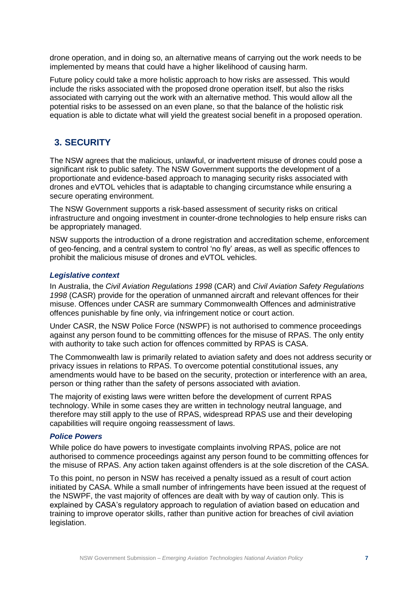drone operation, and in doing so, an alternative means of carrying out the work needs to be implemented by means that could have a higher likelihood of causing harm.

Future policy could take a more holistic approach to how risks are assessed. This would include the risks associated with the proposed drone operation itself, but also the risks associated with carrying out the work with an alternative method. This would allow all the potential risks to be assessed on an even plane, so that the balance of the holistic risk equation is able to dictate what will yield the greatest social benefit in a proposed operation.

## <span id="page-6-0"></span>**3. SECURITY**

The NSW agrees that the malicious, unlawful, or inadvertent misuse of drones could pose a significant risk to public safety. The NSW Government supports the development of a proportionate and evidence-based approach to managing security risks associated with drones and eVTOL vehicles that is adaptable to changing circumstance while ensuring a secure operating environment.

The NSW Government supports a risk-based assessment of security risks on critical infrastructure and ongoing investment in counter-drone technologies to help ensure risks can be appropriately managed.

NSW supports the introduction of a drone registration and accreditation scheme, enforcement of geo-fencing, and a central system to control 'no fly' areas, as well as specific offences to prohibit the malicious misuse of drones and eVTOL vehicles.

#### *Legislative context*

In Australia, the *Civil Aviation Regulations 1998* (CAR) and *Civil Aviation Safety Regulations 1998* (CASR) provide for the operation of unmanned aircraft and relevant offences for their misuse. Offences under CASR are summary Commonwealth Offences and administrative offences punishable by fine only, via infringement notice or court action.

Under CASR, the NSW Police Force (NSWPF) is not authorised to commence proceedings against any person found to be committing offences for the misuse of RPAS. The only entity with authority to take such action for offences committed by RPAS is CASA.

The Commonwealth law is primarily related to aviation safety and does not address security or privacy issues in relations to RPAS. To overcome potential constitutional issues, any amendments would have to be based on the security, protection or interference with an area, person or thing rather than the safety of persons associated with aviation.

The majority of existing laws were written before the development of current RPAS technology. While in some cases they are written in technology neutral language, and therefore may still apply to the use of RPAS, widespread RPAS use and their developing capabilities will require ongoing reassessment of laws.

#### *Police Powers*

While police do have powers to investigate complaints involving RPAS, police are not authorised to commence proceedings against any person found to be committing offences for the misuse of RPAS. Any action taken against offenders is at the sole discretion of the CASA.

To this point, no person in NSW has received a penalty issued as a result of court action initiated by CASA. While a small number of infringements have been issued at the request of the NSWPF, the vast majority of offences are dealt with by way of caution only. This is explained by CASA's regulatory approach to regulation of aviation based on education and training to improve operator skills, rather than punitive action for breaches of civil aviation legislation.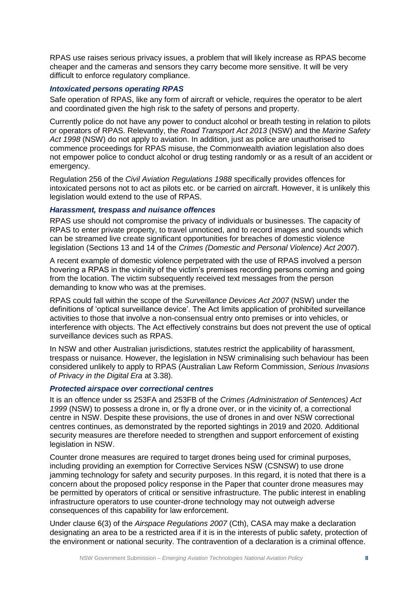RPAS use raises serious privacy issues, a problem that will likely increase as RPAS become cheaper and the cameras and sensors they carry become more sensitive. It will be very difficult to enforce regulatory compliance.

#### *Intoxicated persons operating RPAS*

Safe operation of RPAS, like any form of aircraft or vehicle, requires the operator to be alert and coordinated given the high risk to the safety of persons and property.

Currently police do not have any power to conduct alcohol or breath testing in relation to pilots or operators of RPAS. Relevantly, the *Road Transport Act 2013* (NSW) and the *Marine Safety Act 1998* (NSW) do not apply to aviation. In addition, just as police are unauthorised to commence proceedings for RPAS misuse, the Commonwealth aviation legislation also does not empower police to conduct alcohol or drug testing randomly or as a result of an accident or emergency.

Regulation 256 of the *Civil Aviation Regulations 1988* specifically provides offences for intoxicated persons not to act as pilots etc. or be carried on aircraft. However, it is unlikely this legislation would extend to the use of RPAS.

#### *Harassment, trespass and nuisance offences*

RPAS use should not compromise the privacy of individuals or businesses. The capacity of RPAS to enter private property, to travel unnoticed, and to record images and sounds which can be streamed live create significant opportunities for breaches of domestic violence legislation (Sections 13 and 14 of the *Crimes (Domestic and Personal Violence) Act 2007*).

A recent example of domestic violence perpetrated with the use of RPAS involved a person hovering a RPAS in the vicinity of the victim's premises recording persons coming and going from the location. The victim subsequently received text messages from the person demanding to know who was at the premises.

RPAS could fall within the scope of the *Surveillance Devices Act 2007* (NSW) under the definitions of 'optical surveillance device'. The Act limits application of prohibited surveillance activities to those that involve a non-consensual entry onto premises or into vehicles, or interference with objects. The Act effectively constrains but does not prevent the use of optical surveillance devices such as RPAS.

In NSW and other Australian jurisdictions, statutes restrict the applicability of harassment, trespass or nuisance. However, the legislation in NSW criminalising such behaviour has been considered unlikely to apply to RPAS (Australian Law Reform Commission, *Serious Invasions of Privacy in the Digital Era* at 3.38).

#### *Protected airspace over correctional centres*

It is an offence under ss 253FA and 253FB of the *Crimes (Administration of Sentences) Act 1999* (NSW) to possess a drone in, or fly a drone over, or in the vicinity of, a correctional centre in NSW. Despite these provisions, the use of drones in and over NSW correctional centres continues, as demonstrated by the reported sightings in 2019 and 2020. Additional security measures are therefore needed to strengthen and support enforcement of existing legislation in NSW.

Counter drone measures are required to target drones being used for criminal purposes, including providing an exemption for Corrective Services NSW (CSNSW) to use drone jamming technology for safety and security purposes. In this regard, it is noted that there is a concern about the proposed policy response in the Paper that counter drone measures may be permitted by operators of critical or sensitive infrastructure. The public interest in enabling infrastructure operators to use counter-drone technology may not outweigh adverse consequences of this capability for law enforcement.

Under clause 6(3) of the *Airspace Regulations 2007* (Cth), CASA may make a declaration designating an area to be a restricted area if it is in the interests of public safety, protection of the environment or national security. The contravention of a declaration is a criminal offence.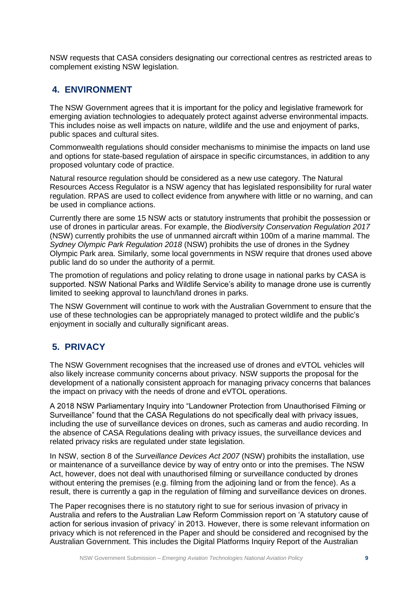NSW requests that CASA considers designating our correctional centres as restricted areas to complement existing NSW legislation.

## <span id="page-8-0"></span>**4. ENVIRONMENT**

The NSW Government agrees that it is important for the policy and legislative framework for emerging aviation technologies to adequately protect against adverse environmental impacts. This includes noise as well impacts on nature, wildlife and the use and enjoyment of parks, public spaces and cultural sites.

Commonwealth regulations should consider mechanisms to minimise the impacts on land use and options for state-based regulation of airspace in specific circumstances, in addition to any proposed voluntary code of practice.

Natural resource regulation should be considered as a new use category. The Natural Resources Access Regulator is a NSW agency that has legislated responsibility for rural water regulation. RPAS are used to collect evidence from anywhere with little or no warning, and can be used in compliance actions.

Currently there are some 15 NSW acts or statutory instruments that prohibit the possession or use of drones in particular areas. For example, the *Biodiversity Conservation Regulation 2017* (NSW) currently prohibits the use of unmanned aircraft within 100m of a marine mammal. The *Sydney Olympic Park Regulation 2018* (NSW) prohibits the use of drones in the Sydney Olympic Park area. Similarly, some local governments in NSW require that drones used above public land do so under the authority of a permit.

The promotion of regulations and policy relating to drone usage in national parks by CASA is supported. NSW National Parks and Wildlife Service's ability to manage drone use is currently limited to seeking approval to launch/land drones in parks.

The NSW Government will continue to work with the Australian Government to ensure that the use of these technologies can be appropriately managed to protect wildlife and the public's enjoyment in socially and culturally significant areas.

## <span id="page-8-1"></span>**5. PRIVACY**

The NSW Government recognises that the increased use of drones and eVTOL vehicles will also likely increase community concerns about privacy. NSW supports the proposal for the development of a nationally consistent approach for managing privacy concerns that balances the impact on privacy with the needs of drone and eVTOL operations.

A 2018 NSW Parliamentary Inquiry into "Landowner Protection from Unauthorised Filming or Surveillance" found that the CASA Regulations do not specifically deal with privacy issues, including the use of surveillance devices on drones, such as cameras and audio recording. In the absence of CASA Regulations dealing with privacy issues, the surveillance devices and related privacy risks are regulated under state legislation.

In NSW, section 8 of the *Surveillance Devices Act 2007* (NSW) prohibits the installation, use or maintenance of a surveillance device by way of entry onto or into the premises. The NSW Act, however, does not deal with unauthorised filming or surveillance conducted by drones without entering the premises (e.g. filming from the adjoining land or from the fence). As a result, there is currently a gap in the regulation of filming and surveillance devices on drones.

The Paper recognises there is no statutory right to sue for serious invasion of privacy in Australia and refers to the Australian Law Reform Commission report on 'A statutory cause of action for serious invasion of privacy' in 2013. However, there is some relevant information on privacy which is not referenced in the Paper and should be considered and recognised by the Australian Government. This includes the Digital Platforms Inquiry Report of the Australian